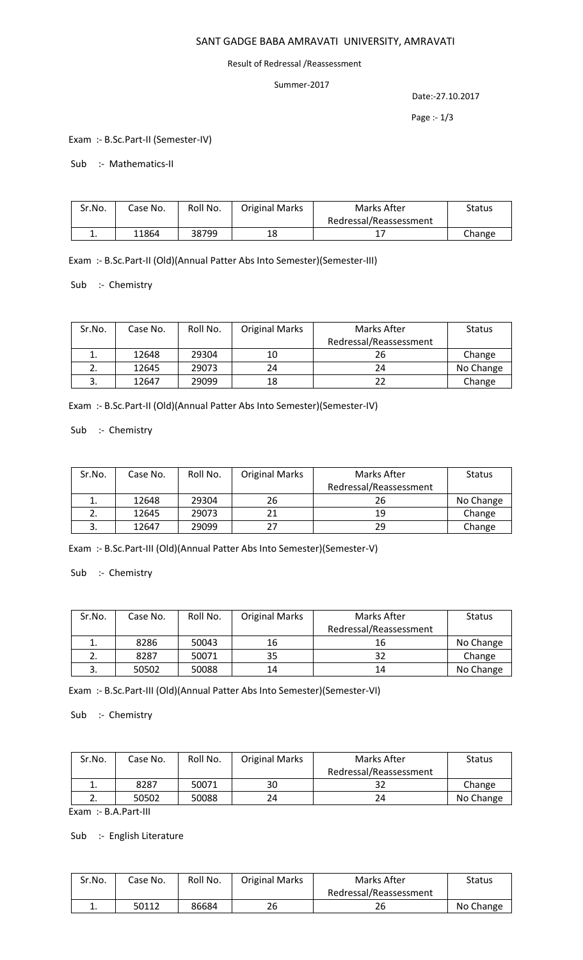# SANT GADGE BABA AMRAVATI UNIVERSITY, AMRAVATI

#### Result of Redressal /Reassessment

#### Summer-2017

Date:-27.10.2017

Page :- 1/3

Exam :- B.Sc.Part-II (Semester-IV)

Sub :- Mathematics-II

| Sr.No. | Case No. | Roll No. | <b>Original Marks</b> | Marks After            | <b>Status</b> |
|--------|----------|----------|-----------------------|------------------------|---------------|
|        |          |          |                       | Redressal/Reassessment |               |
| ᆠ.     | 11864    | 38799    | 18                    |                        | Change        |

Exam :- B.Sc.Part-II (Old)(Annual Patter Abs Into Semester)(Semester-III)

Sub :- Chemistry

| Sr.No. | Case No. | Roll No. | <b>Original Marks</b> | Marks After            | <b>Status</b> |
|--------|----------|----------|-----------------------|------------------------|---------------|
|        |          |          |                       | Redressal/Reassessment |               |
| ⊥.     | 12648    | 29304    | 10                    | 26                     | Change        |
|        | 12645    | 29073    | 24                    | 24                     | No Change     |
|        | 12647    | 29099    | 18                    | 22                     | Change        |

Exam :- B.Sc.Part-II (Old)(Annual Patter Abs Into Semester)(Semester-IV)

Sub :- Chemistry

| Sr.No.    | Case No. | Roll No. | <b>Original Marks</b> | Marks After            | <b>Status</b> |
|-----------|----------|----------|-----------------------|------------------------|---------------|
|           |          |          |                       | Redressal/Reassessment |               |
|           | 12648    | 29304    | 26                    | 26                     | No Change     |
| <u>L.</u> | 12645    | 29073    |                       | 19                     | Change        |
|           | 12647    | 29099    | 27                    | 29                     | Change        |

Exam :- B.Sc.Part-III (Old)(Annual Patter Abs Into Semester)(Semester-V)

Sub :- Chemistry

| Sr.No. | Case No. | Roll No. | <b>Original Marks</b> | Marks After            | <b>Status</b> |
|--------|----------|----------|-----------------------|------------------------|---------------|
|        |          |          |                       | Redressal/Reassessment |               |
|        | 8286     | 50043    | 16                    | 16                     | No Change     |
|        | 8287     | 50071    | 35                    | 32                     | Change        |
|        | 50502    | 50088    | 14                    | 14                     | No Change     |

Exam :- B.Sc.Part-III (Old)(Annual Patter Abs Into Semester)(Semester-VI)

Sub :- Chemistry

| Sr.No. | Case No. | Roll No. | <b>Original Marks</b> | Marks After            | <b>Status</b> |
|--------|----------|----------|-----------------------|------------------------|---------------|
|        |          |          |                       | Redressal/Reassessment |               |
| ∸.     | 8287     | 50071    | 30                    |                        | Change        |
|        | 50502    | 50088    | 24                    | 24                     | No Change     |

Exam :- B.A.Part-III

Sub :- English Literature

| Sr.No. | Case No. | Roll No. | <b>Original Marks</b> | Marks After            | Status    |
|--------|----------|----------|-----------------------|------------------------|-----------|
|        |          |          |                       | Redressal/Reassessment |           |
| . .    | 50112    | 86684    | 26                    | 26                     | No Change |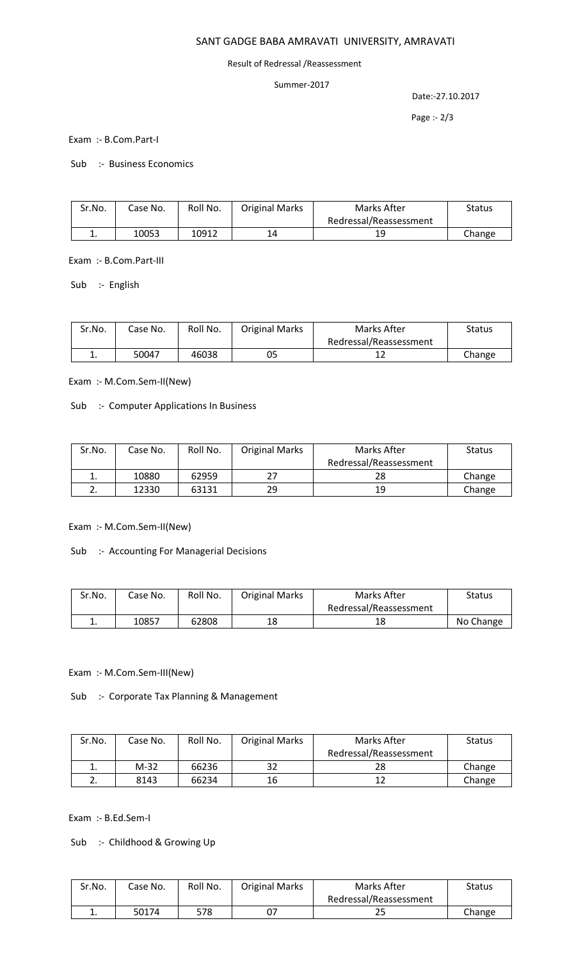# SANT GADGE BABA AMRAVATI UNIVERSITY, AMRAVATI

### Result of Redressal /Reassessment

### Summer-2017

Date:-27.10.2017

Page :- 2/3

Exam :- B.Com.Part-I

Sub :- Business Economics

| Sr.No. | Case No. | Roll No. | <b>Original Marks</b> | Marks After            | Status |
|--------|----------|----------|-----------------------|------------------------|--------|
|        |          |          |                       | Redressal/Reassessment |        |
| ᆠ.     | 10053    | 10912    | 14                    | 19                     | Change |

Exam :- B.Com.Part-III

Sub :- English

| Sr.No. | Case No. | Roll No. | <b>Original Marks</b> | Marks After            | Status |
|--------|----------|----------|-----------------------|------------------------|--------|
|        |          |          |                       | Redressal/Reassessment |        |
| ∸.     | 50047    | 46038    | 05                    |                        | Change |

Exam :- M.Com.Sem-II(New)

Sub :- Computer Applications In Business

| Sr.No. | Case No. | Roll No. | <b>Original Marks</b> | Marks After            | <b>Status</b> |
|--------|----------|----------|-----------------------|------------------------|---------------|
|        |          |          |                       | Redressal/Reassessment |               |
| ∸.     | 10880    | 62959    | 27                    | 28                     | Change        |
|        | 12330    | 63131    | 29                    | 19                     | Change        |

Exam :- M.Com.Sem-II(New)

Sub :- Accounting For Managerial Decisions

| Sr.No. | Case No. | Roll No. | <b>Original Marks</b> | Marks After            | Status    |
|--------|----------|----------|-----------------------|------------------------|-----------|
|        |          |          |                       | Redressal/Reassessment |           |
| ٠.     | 10857    | 62808    | 18                    | 18                     | No Change |

Exam :- M.Com.Sem-III(New)

Sub :- Corporate Tax Planning & Management

| Sr.No.   | Case No. | Roll No. | <b>Original Marks</b> | Marks After            | <b>Status</b> |
|----------|----------|----------|-----------------------|------------------------|---------------|
|          |          |          |                       | Redressal/Reassessment |               |
| ∸.       | $M-32$   | 66236    | 32                    | 28                     | Change        |
| <u>.</u> | 8143     | 66234    | 16                    | 12                     | Change        |

Exam :- B.Ed.Sem-I

Sub :- Childhood & Growing Up

| Sr.No. | Case No. | Roll No. | <b>Original Marks</b> | Marks After            | Status |
|--------|----------|----------|-----------------------|------------------------|--------|
|        |          |          |                       | Redressal/Reassessment |        |
| ∸.     | 50174    | 578      | 07                    | دے                     | Change |